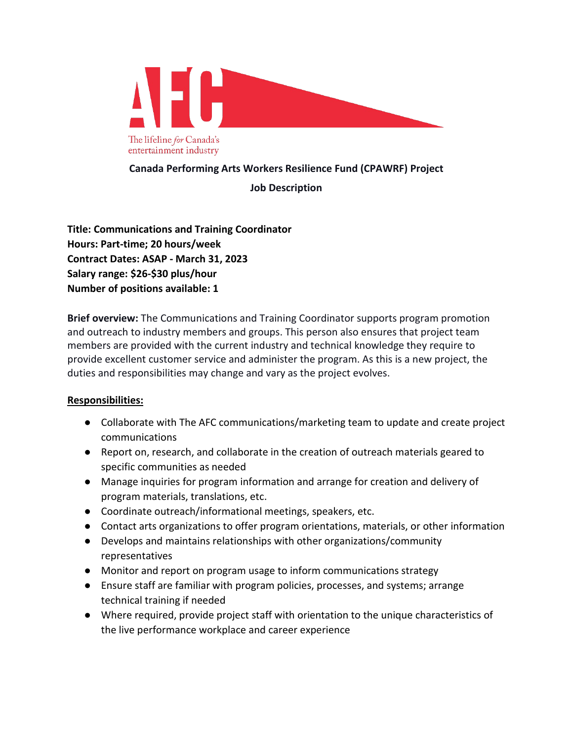

**Canada Performing Arts Workers Resilience Fund (CPAWRF) Project**

## **Job Description**

**Title: Communications and Training Coordinator Hours: Part-time; 20 hours/week Contract Dates: ASAP - March 31, 2023 Salary range: \$26-\$30 plus/hour Number of positions available: 1**

**Brief overview:** The Communications and Training Coordinator supports program promotion and outreach to industry members and groups. This person also ensures that project team members are provided with the current industry and technical knowledge they require to provide excellent customer service and administer the program. As this is a new project, the duties and responsibilities may change and vary as the project evolves.

## **Responsibilities:**

- Collaborate with The AFC communications/marketing team to update and create project communications
- Report on, research, and collaborate in the creation of outreach materials geared to specific communities as needed
- Manage inquiries for program information and arrange for creation and delivery of program materials, translations, etc.
- Coordinate outreach/informational meetings, speakers, etc.
- Contact arts organizations to offer program orientations, materials, or other information
- Develops and maintains relationships with other organizations/community representatives
- Monitor and report on program usage to inform communications strategy
- Ensure staff are familiar with program policies, processes, and systems; arrange technical training if needed
- Where required, provide project staff with orientation to the unique characteristics of the live performance workplace and career experience